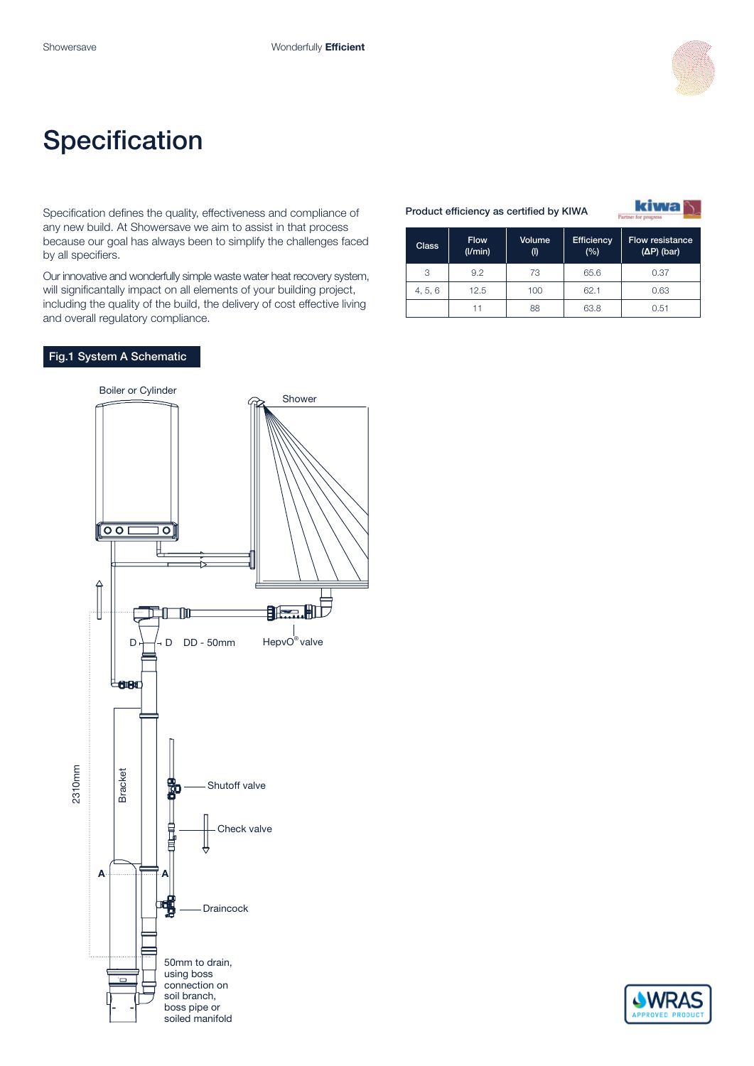

# **Specification**

Specification defines the quality, effectiveness and compliance of any new build. At Showersave we aim to assist in that process because our goal has always been to simplify the challenges faced by all specifiers.

Our innovative and wonderfully simple waste water heat recovery system, will significantally impact on all elements of your building project, including the quality of the build, the delivery of cost effective living and overall regulatory compliance.

#### Product efficiency as certified by KIWA

**kiwa** 

| <b>Class</b> | <b>Flow</b><br>$($ I/min $)$ | Volume<br>(1) | <b>Efficiency</b><br>(%) | <b>Flow resistance</b><br>$(\Delta P)$ (bar) |
|--------------|------------------------------|---------------|--------------------------|----------------------------------------------|
| 3            | 9.2                          | 73            | 65.6                     | 0.37                                         |
| 4, 5, 6      | 12.5                         | 100           | 62.1                     | 0.63                                         |
|              |                              | 88            | 63.8                     | 0.51                                         |

### Fig.1 System A Schematic